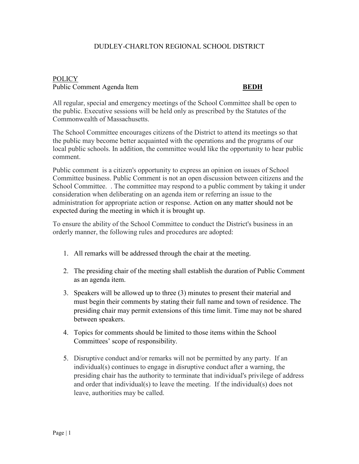## DUDLEY-CHARLTON REGIONAL SCHOOL DISTRICT

## **POLICY** Public Comment Agenda Item **BEDH**

All regular, special and emergency meetings of the School Committee shall be open to the public. Executive sessions will be held only as prescribed by the Statutes of the Commonwealth of Massachusetts.

The School Committee encourages citizens of the District to attend its meetings so that the public may become better acquainted with the operations and the programs of our local public schools. In addition, the committee would like the opportunity to hear public comment.

Public comment is a citizen's opportunity to express an opinion on issues of School Committee business. Public Comment is not an open discussion between citizens and the School Committee. . The committee may respond to a public comment by taking it under consideration when deliberating on an agenda item or referring an issue to the administration for appropriate action or response. Action on any matter should not be expected during the meeting in which it is brought up.

To ensure the ability of the School Committee to conduct the District's business in an orderly manner, the following rules and procedures are adopted:

- 1. All remarks will be addressed through the chair at the meeting.
- 2. The presiding chair of the meeting shall establish the duration of Public Comment as an agenda item.
- 3. Speakers will be allowed up to three (3) minutes to present their material and must begin their comments by stating their full name and town of residence. The presiding chair may permit extensions of this time limit. Time may not be shared between speakers.
- 4. Topics for comments should be limited to those items within the School Committees' scope of responsibility.
- 5. Disruptive conduct and/or remarks will not be permitted by any party. If an individual(s) continues to engage in disruptive conduct after a warning, the presiding chair has the authority to terminate that individual's privilege of address and order that individual(s) to leave the meeting. If the individual(s) does not leave, authorities may be called.